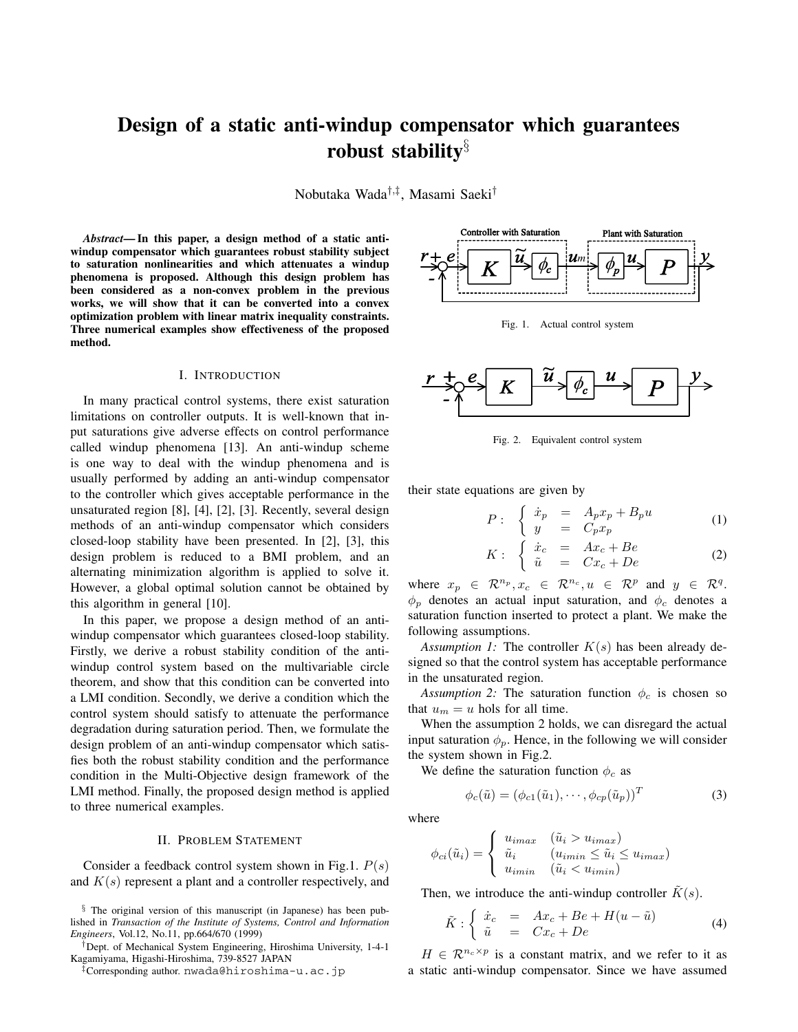# **Design of a static anti-windup compensator which guarantees robust stability**§

Nobutaka Wada†,‡, Masami Saeki†

*Abstract***— In this paper, a design method of a static antiwindup compensator which guarantees robust stability subject to saturation nonlinearities and which attenuates a windup phenomena is proposed. Although this design problem has been considered as a non-convex problem in the previous works, we will show that it can be converted into a convex optimization problem with linear matrix inequality constraints. Three numerical examples show effectiveness of the proposed method.**

#### I. INTRODUCTION

In many practical control systems, there exist saturation limitations on controller outputs. It is well-known that input saturations give adverse effects on control performance called windup phenomena [13]. An anti-windup scheme is one way to deal with the windup phenomena and is usually performed by adding an anti-windup compensator to the controller which gives acceptable performance in the unsaturated region [8], [4], [2], [3]. Recently, several design methods of an anti-windup compensator which considers closed-loop stability have been presented. In [2], [3], this design problem is reduced to a BMI problem, and an alternating minimization algorithm is applied to solve it. However, a global optimal solution cannot be obtained by this algorithm in general [10].

In this paper, we propose a design method of an antiwindup compensator which guarantees closed-loop stability. Firstly, we derive a robust stability condition of the antiwindup control system based on the multivariable circle theorem, and show that this condition can be converted into a LMI condition. Secondly, we derive a condition which the control system should satisfy to attenuate the performance degradation during saturation period. Then, we formulate the design problem of an anti-windup compensator which satisfies both the robust stability condition and the performance condition in the Multi-Objective design framework of the LMI method. Finally, the proposed design method is applied to three numerical examples.

### II. PROBLEM STATEMENT

Consider a feedback control system shown in Fig.1.  $P(s)$ and  $K(s)$  represent a plant and a controller respectively, and

§ The original version of this manuscript (in Japanese) has been published in *Transaction of the Institute of Systems, Control and Information Engineers*, Vol.12, No.11, pp.664/670 (1999)

†Dept. of Mechanical System Engineering, Hiroshima University, 1-4-1 Kagamiyama, Higashi-Hiroshima, 739-8527 JAPAN

‡Corresponding author. nwada@hiroshima-u.ac.jp



Fig. 1. Actual control system



Fig. 2. Equivalent control system

their state equations are given by

$$
P: \begin{cases} \dot{x}_p = A_p x_p + B_p u \\ y = C_p x_p \end{cases} \tag{1}
$$

$$
K: \begin{cases} \dot{x}_c = Ax_c + Be \\ \tilde{u} = Cx_c + De \end{cases}
$$
 (2)

where  $x_p \in \mathbb{R}^{n_p}, x_c \in \mathbb{R}^{n_c}, u \in \mathbb{R}^p$  and  $y \in \mathbb{R}^q$ .  $\phi_p$  denotes an actual input saturation, and  $\phi_c$  denotes a saturation function inserted to protect a plant. We make the following assumptions.

*Assumption 1:* The controller  $K(s)$  has been already designed so that the control system has acceptable performance in the unsaturated region.

*Assumption 2:* The saturation function  $\phi_c$  is chosen so that  $u_m = u$  hols for all time.

When the assumption 2 holds, we can disregard the actual input saturation  $\phi_p$ . Hence, in the following we will consider the system shown in Fig.2.

We define the saturation function  $\phi_c$  as

$$
\phi_c(\tilde{u}) = (\phi_{c1}(\tilde{u}_1), \cdots, \phi_{cp}(\tilde{u}_p))^T
$$
\n(3)

where

$$
\phi_{ci}(\tilde{u}_i) = \begin{cases} u_{imax} & (\tilde{u}_i > u_{imax}) \\ \tilde{u}_i & (u_{imin} \leq \tilde{u}_i \leq u_{imax}) \\ u_{imin} & (\tilde{u}_i < u_{imin}) \end{cases}
$$

Then, we introduce the anti-windup controller  $\tilde{K}(s)$ .

$$
\tilde{K} : \begin{cases}\n\dot{x}_c = Ax_c + Be + H(u - \tilde{u}) \\
\tilde{u} = Cx_c + De\n\end{cases}
$$
\n(4)

 $H \in \mathbb{R}^{n_c \times p}$  is a constant matrix, and we refer to it as a static anti-windup compensator. Since we have assumed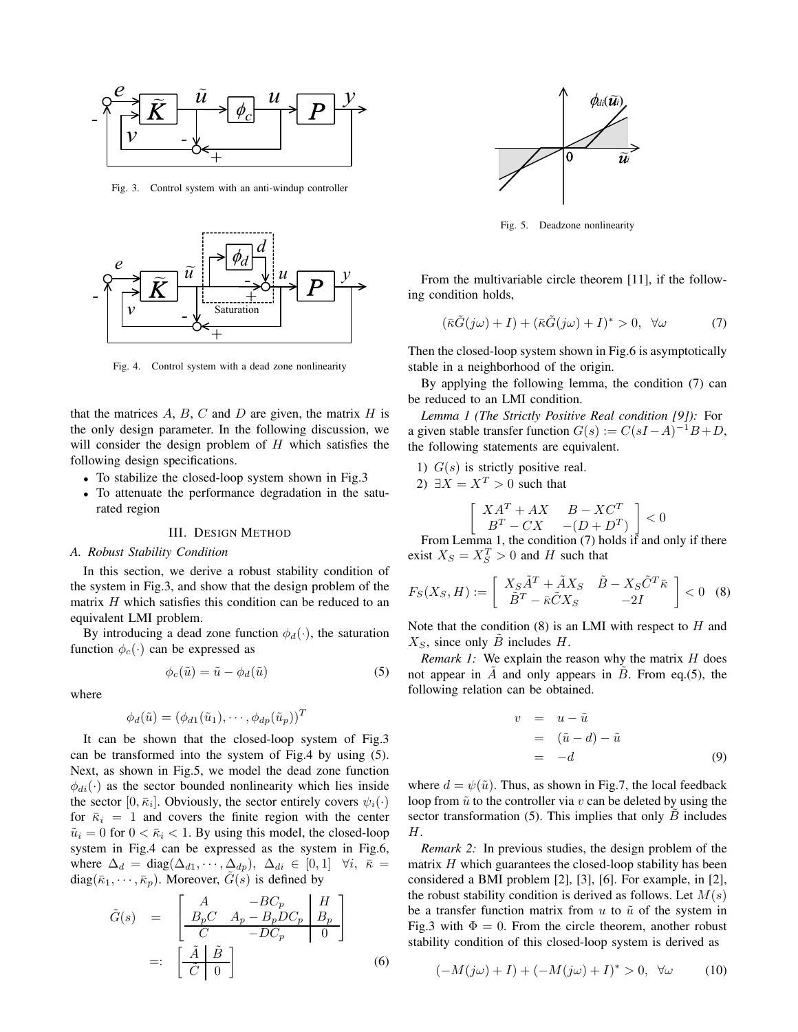

Fig. 3. Control system with an anti-windup controller



Fig. 4. Control system with a dead zone nonlinearity

that the matrices  $A, B, C$  and  $D$  are given, the matrix  $H$  is the only design parameter. In the following discussion, we will consider the design problem of  $H$  which satisfies the following design specifications.

- To stabilize the closed-loop system shown in Fig.3
- To attenuate the performance degradation in the saturated region

#### III. DESIGN METHOD

#### *A. Robust Stability Condition*

In this section, we derive a robust stability condition of the system in Fig.3, and show that the design problem of the matrix  $H$  which satisfies this condition can be reduced to an equivalent LMI problem.

By introducing a dead zone function  $\phi_d(\cdot)$ , the saturation function  $\phi_c(\cdot)$  can be expressed as

$$
\phi_c(\tilde{u}) = \tilde{u} - \phi_d(\tilde{u}) \tag{5}
$$

where

$$
\phi_d(\tilde{u}) = (\phi_{d1}(\tilde{u}_1), \cdots, \phi_{dp}(\tilde{u}_p))^T
$$

It can be shown that the closed-loop system of Fig.3 can be transformed into the system of Fig.4 by using (5). Next, as shown in Fig.5, we model the dead zone function  $\phi_{di}(\cdot)$  as the sector bounded nonlinearity which lies inside the sector  $[0, \bar{\kappa}_i]$ . Obviously, the sector entirely covers  $\psi_i(\cdot)$ for  $\bar{\kappa}_i = 1$  and covers the finite region with the center  $\tilde{u}_i = 0$  for  $0 < \bar{\kappa}_i < 1$ . By using this model, the closed-loop system in Fig.4 can be expressed as the system in Fig.6, where  $\Delta_d = \text{diag}(\Delta_{d1}, \cdots, \Delta_{dp}), \ \Delta_{di} \in [0,1] \ \forall i, \ \bar{\kappa} =$  $diag(\bar{\kappa}_1, \cdots, \bar{\kappa}_p)$ . Moreover,  $\hat{G}(s)$  is defined by

$$
\tilde{G}(s) = \begin{bmatrix} A & -BC_p & H \\ B_pC & A_p - B_pDC_p & B_p \\ C & -DC_p & 0 \end{bmatrix}
$$

$$
=: \begin{bmatrix} \tilde{A} & \tilde{B} \\ \tilde{C} & 0 \end{bmatrix}
$$
(6)



Fig. 5. Deadzone nonlinearity

From the multivariable circle theorem [11], if the following condition holds,

$$
(\bar{\kappa}\tilde{G}(j\omega) + I) + (\bar{\kappa}\tilde{G}(j\omega) + I)^* > 0, \quad \forall \omega \tag{7}
$$

Then the closed-loop system shown in Fig.6 is asymptotically stable in a neighborhood of the origin.

By applying the following lemma, the condition (7) can be reduced to an LMI condition.

*Lemma 1 (The Strictly Positive Real condition [9]):* For a given stable transfer function  $G(s) := C(sI-A)^{-1}B+D$ , the following statements are equivalent.

- 1)  $G(s)$  is strictly positive real.
- 2)  $\exists X = X^T > 0$  such that

$$
\begin{bmatrix} XA^T + AX & B - XC^T \\ B^T - CX & -(D + D^T) \end{bmatrix} < 0
$$
  
From Lemma 1, the condition (7) holds if and only if there

exist  $X_S = X_S^T > 0$  and H such that

$$
F_S(X_S, H) := \left[ \begin{array}{cc} X_S \tilde{A}^T + \tilde{A} X_S & \tilde{B} - X_S \tilde{C}^T \bar{\kappa} \\ \tilde{B}^T - \bar{\kappa} \tilde{C} X_S & -2I \end{array} \right] < 0 \quad (8)
$$

Note that the condition  $(8)$  is an LMI with respect to  $H$  and  $X<sub>S</sub>$ , since only B includes H.

*Remark 1:* We explain the reason why the matrix *H* does not appear in  $\ddot{A}$  and only appears in  $\ddot{B}$ . From eq.(5), the following relation can be obtained.

$$
v = u - \tilde{u}
$$
  
=  $(\tilde{u} - d) - \tilde{u}$   
=  $-d$  (9)

where  $d = \psi(\tilde{u})$ . Thus, as shown in Fig.7, the local feedback loop from  $\tilde{u}$  to the controller via v can be deleted by using the sector transformation  $(5)$ . This implies that only  $B$  includes H.

*Remark 2:* In previous studies, the design problem of the matrix  $H$  which guarantees the closed-loop stability has been considered a BMI problem [2], [3], [6]. For example, in [2], the robust stability condition is derived as follows. Let  $M(s)$ be a transfer function matrix from  $u$  to  $\tilde{u}$  of the system in Fig.3 with  $\Phi = 0$ . From the circle theorem, another robust stability condition of this closed-loop system is derived as

$$
(-M(j\omega) + I) + (-M(j\omega) + I)^{*} > 0, \quad \forall \omega \tag{10}
$$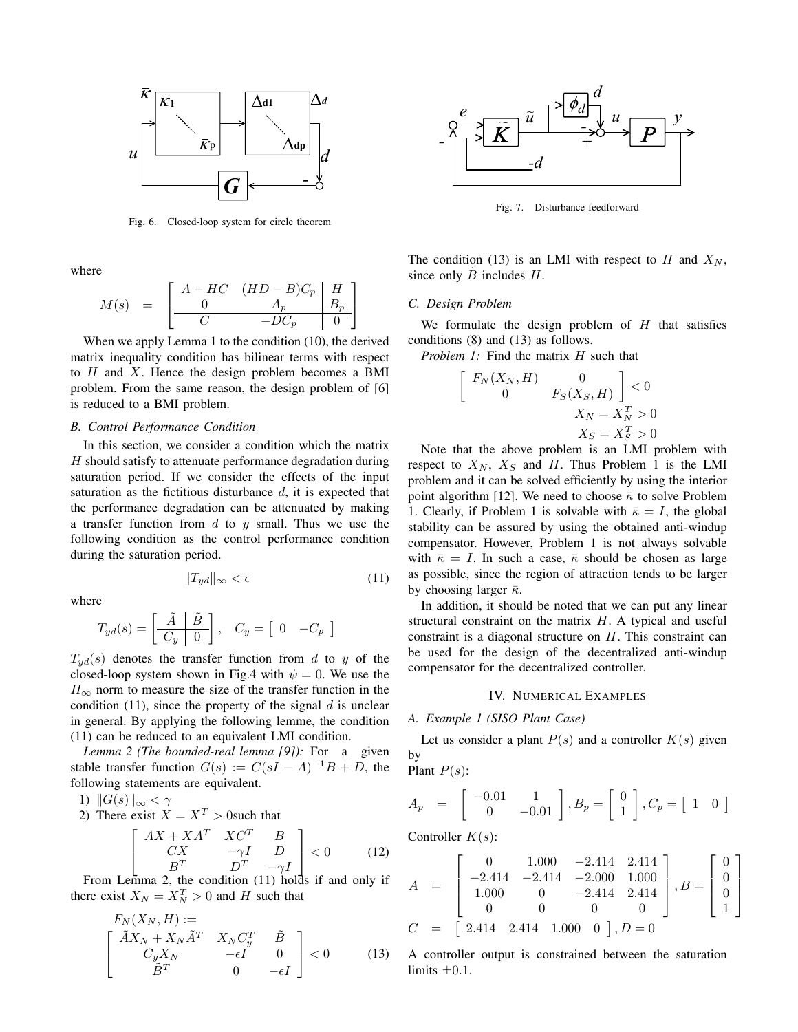

Fig. 6. Closed-loop system for circle theorem

where

$$
M(s) = \begin{bmatrix} A - HC & (HD - B)C_p & H \\ 0 & A_p & B_p \\ \hline C & -DC_p & 0 \end{bmatrix}
$$

When we apply Lemma 1 to the condition (10), the derived matrix inequality condition has bilinear terms with respect to  $H$  and  $X$ . Hence the design problem becomes a BMI problem. From the same reason, the design problem of [6] is reduced to a BMI problem.

# *B. Control Performance Condition*

In this section, we consider a condition which the matrix  $H$  should satisfy to attenuate performance degradation during saturation period. If we consider the effects of the input saturation as the fictitious disturbance  $d$ , it is expected that the performance degradation can be attenuated by making a transfer function from  $d$  to  $y$  small. Thus we use the following condition as the control performance condition during the saturation period.

where

$$
T_{yd}(s) = \left[ \begin{array}{c|c} \tilde{A} & \tilde{B} \\ \hline C_y & 0 \end{array} \right], \quad C_y = \left[ \begin{array}{cc} 0 & -C_p \end{array} \right]
$$

 $||T_{yd}||_{\infty} < \epsilon$  (11)

 $T_{yd}(s)$  denotes the transfer function from d to y of the closed-loop system shown in Fig.4 with  $\psi = 0$ . We use the  $H_{\infty}$  norm to measure the size of the transfer function in the condition (11), since the property of the signal  $d$  is unclear in general. By applying the following lemme, the condition (11) can be reduced to an equivalent LMI condition.

*Lemma 2 (The bounded-real lemma [9]):* For a given stable transfer function  $G(s) := C(sI - A)^{-1}B + D$ , the following statements are equivalent.

1) 
$$
||G(s)||_{\infty} < \gamma
$$

2) There exist  $X = X^T > 0$  such that

$$
\begin{bmatrix} AX + XA^T & XC^T & B \\ CX & -\gamma I & D \\ B^T & D^T & -\gamma I \end{bmatrix} < 0
$$
 (12)  
From Lemma 2, the condition (11) holds if and only if

there exist  $X_N = X_N^T > 0$  and H such that

$$
F_N(X_N, H) :=
$$
\n
$$
\begin{bmatrix}\n\tilde{A}X_N + X_N \tilde{A}^T & X_N C_y^T & \tilde{B} \\
C_y X_N & -\epsilon I & 0 \\
\tilde{B}^T & 0 & -\epsilon I\n\end{bmatrix} < 0
$$
\n(13)



Fig. 7. Disturbance feedforward

The condition (13) is an LMI with respect to  $H$  and  $X_N$ , since only  $\ddot{B}$  includes  $H$ .

### *C. Design Problem*

We formulate the design problem of  $H$  that satisfies conditions (8) and (13) as follows.

*Problem 1:* Find the matrix H such that

$$
\begin{bmatrix}\nF_N(X_N, H) & 0 \\
0 & F_S(X_S, H)\n\end{bmatrix} < 0
$$
\n
$$
X_N = X_N^T > 0
$$
\n
$$
X_S = X_S^T > 0
$$

Note that the above problem is an LMI problem with respect to  $X_N$ ,  $X_S$  and H. Thus Problem 1 is the LMI problem and it can be solved efficiently by using the interior point algorithm [12]. We need to choose  $\bar{\kappa}$  to solve Problem 1. Clearly, if Problem 1 is solvable with  $\bar{\kappa} = I$ , the global stability can be assured by using the obtained anti-windup compensator. However, Problem 1 is not always solvable with  $\bar{\kappa} = I$ . In such a case,  $\bar{\kappa}$  should be chosen as large as possible, since the region of attraction tends to be larger by choosing larger  $\bar{\kappa}$ .

In addition, it should be noted that we can put any linear structural constraint on the matrix  $H$ . A typical and useful constraint is a diagonal structure on H. This constraint can be used for the design of the decentralized anti-windup compensator for the decentralized controller.

### IV. NUMERICAL EXAMPLES

#### *A. Example 1 (SISO Plant Case)*

Let us consider a plant  $P(s)$  and a controller  $K(s)$  given by Plant  $P(s)$ :

$$
A_p = \begin{bmatrix} -0.01 & 1 \\ 0 & -0.01 \end{bmatrix}, B_p = \begin{bmatrix} 0 \\ 1 \end{bmatrix}, C_p = \begin{bmatrix} 1 & 0 \end{bmatrix}
$$

Controller  $K(s)$ :

$$
A = \begin{bmatrix} 0 & 1.000 & -2.414 & 2.414 \\ -2.414 & -2.414 & -2.000 & 1.000 \\ 1.000 & 0 & -2.414 & 2.414 \\ 0 & 0 & 0 & 0 \end{bmatrix}, B = \begin{bmatrix} 0 \\ 0 \\ 0 \\ 1 \end{bmatrix}
$$

$$
C = \begin{bmatrix} 2.414 & 2.414 & 1.000 & 0 \end{bmatrix}, D = 0
$$

A controller output is constrained between the saturation limits  $\pm 0.1$ .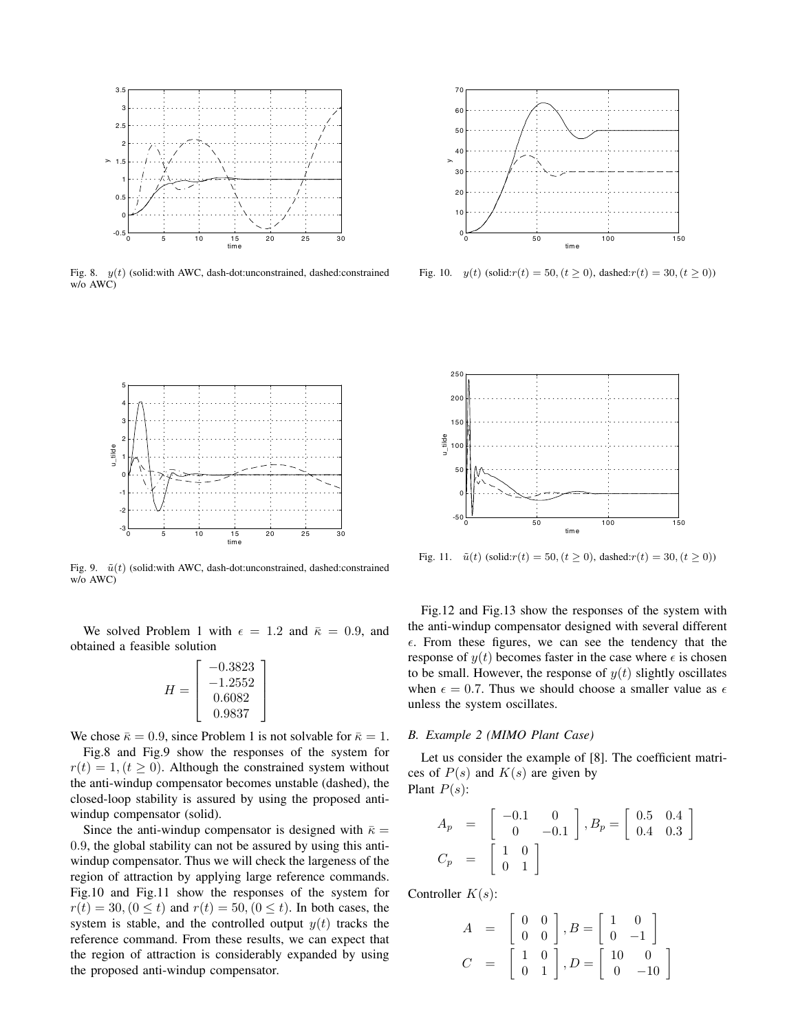

Fig. 8.  $y(t)$  (solid:with AWC, dash-dot:unconstrained, dashed:constrained w/o AWC)



Fig. 10.  $y(t)$  (solid: $r(t) = 50$ ,  $(t \ge 0)$ , dashed: $r(t) = 30$ ,  $(t \ge 0)$ )



Fig. 9.  $\tilde{u}(t)$  (solid:with AWC, dash-dot:unconstrained, dashed:constrained w/o AWC)

We solved Problem 1 with  $\epsilon = 1.2$  and  $\bar{\kappa} = 0.9$ , and obtained a feasible solution

> ⎤  $\overline{a}$  $\overline{a}$  $\overline{a}$

$$
H = \begin{bmatrix} -0.3823 \\ -1.2552 \\ 0.6082 \\ 0.9837 \end{bmatrix}
$$

We chose  $\bar{\kappa} = 0.9$ , since Problem 1 is not solvable for  $\bar{\kappa} = 1$ .

Fig.8 and Fig.9 show the responses of the system for  $r(t) = 1, (t \ge 0)$ . Although the constrained system without the anti-windup compensator becomes unstable (dashed), the closed-loop stability is assured by using the proposed antiwindup compensator (solid).

Since the anti-windup compensator is designed with  $\bar{\kappa} =$ 0.9, the global stability can not be assured by using this antiwindup compensator. Thus we will check the largeness of the region of attraction by applying large reference commands. Fig.10 and Fig.11 show the responses of the system for  $r(t) = 30, (0 \le t)$  and  $r(t) = 50, (0 \le t)$ . In both cases, the system is stable, and the controlled output  $y(t)$  tracks the reference command. From these results, we can expect that the region of attraction is considerably expanded by using the proposed anti-windup compensator.



Fig. 11.  $\tilde{u}(t)$  (solid: $r(t) = 50$ ,  $(t \ge 0)$ ), dashed: $r(t) = 30$ ,  $(t \ge 0)$ )

Fig.12 and Fig.13 show the responses of the system with the anti-windup compensator designed with several different  $\epsilon$ . From these figures, we can see the tendency that the response of  $y(t)$  becomes faster in the case where  $\epsilon$  is chosen to be small. However, the response of  $y(t)$  slightly oscillates when  $\epsilon = 0.7$ . Thus we should choose a smaller value as  $\epsilon$ unless the system oscillates.

#### *B. Example 2 (MIMO Plant Case)*

Let us consider the example of [8]. The coefficient matrices of  $P(s)$  and  $K(s)$  are given by Plant  $P(s)$ :

$$
A_p = \begin{bmatrix} -0.1 & 0 \\ 0 & -0.1 \end{bmatrix}, B_p = \begin{bmatrix} 0.5 & 0.4 \\ 0.4 & 0.3 \end{bmatrix}
$$
  

$$
C_p = \begin{bmatrix} 1 & 0 \\ 0 & 1 \end{bmatrix}
$$

Controller  $K(s)$ :

$$
A = \begin{bmatrix} 0 & 0 \\ 0 & 0 \end{bmatrix}, B = \begin{bmatrix} 1 & 0 \\ 0 & -1 \end{bmatrix}
$$
  

$$
C = \begin{bmatrix} 1 & 0 \\ 0 & 1 \end{bmatrix}, D = \begin{bmatrix} 10 & 0 \\ 0 & -10 \end{bmatrix}
$$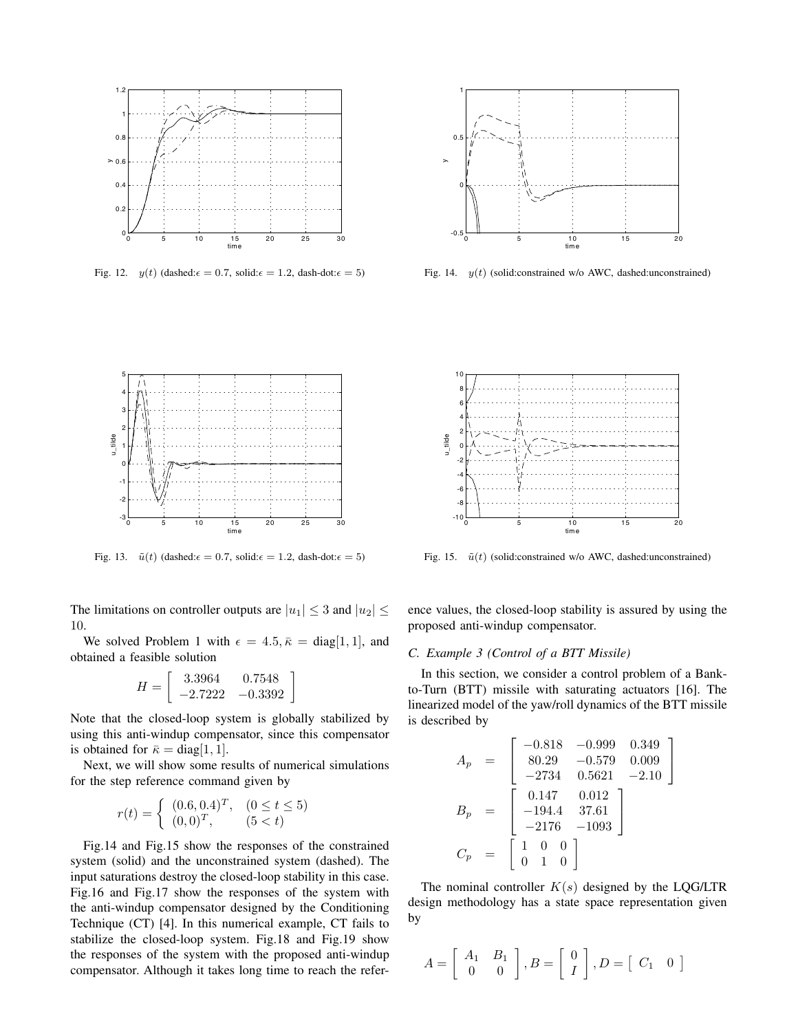

Fig. 12.  $y(t)$  (dashed: $\epsilon = 0.7$ , solid: $\epsilon = 1.2$ , dash-dot: $\epsilon = 5$ )



Fig. 14.  $y(t)$  (solid:constrained w/o AWC, dashed:unconstrained)



Fig. 13.  $\tilde{u}(t)$  (dashed: $\epsilon = 0.7$ , solid: $\epsilon = 1.2$ , dash-dot: $\epsilon = 5$ )

The limitations on controller outputs are  $|u_1| \leq 3$  and  $|u_2| \leq$ 10.

We solved Problem 1 with  $\epsilon = 4.5, \bar{\kappa} = \text{diag}[1, 1]$ , and obtained a feasible solution

$$
H = \left[ \begin{array}{cc} 3.3964 & 0.7548 \\ -2.7222 & -0.3392 \end{array} \right]
$$

Note that the closed-loop system is globally stabilized by using this anti-windup compensator, since this compensator is obtained for  $\bar{\kappa} = \text{diag}[1, 1]$ .

Next, we will show some results of numerical simulations for the step reference command given by

$$
r(t) = \begin{cases} (0.6, 0.4)^{T}, & (0 \le t \le 5) \\ (0, 0)^{T}, & (5 < t) \end{cases}
$$

Fig.14 and Fig.15 show the responses of the constrained system (solid) and the unconstrained system (dashed). The input saturations destroy the closed-loop stability in this case. Fig.16 and Fig.17 show the responses of the system with the anti-windup compensator designed by the Conditioning Technique (CT) [4]. In this numerical example, CT fails to stabilize the closed-loop system. Fig.18 and Fig.19 show the responses of the system with the proposed anti-windup compensator. Although it takes long time to reach the refer-



Fig. 15.  $\tilde{u}(t)$  (solid:constrained w/o AWC, dashed:unconstrained)

ence values, the closed-loop stability is assured by using the proposed anti-windup compensator.

# *C. Example 3 (Control of a BTT Missile)*

In this section, we consider a control problem of a Bankto-Turn (BTT) missile with saturating actuators [16]. The linearized model of the yaw/roll dynamics of the BTT missile is described by

$$
A_p = \begin{bmatrix} -0.818 & -0.999 & 0.349 \\ 80.29 & -0.579 & 0.009 \\ -2734 & 0.5621 & -2.10 \end{bmatrix}
$$
  
\n
$$
B_p = \begin{bmatrix} 0.147 & 0.012 \\ -194.4 & 37.61 \\ -2176 & -1093 \end{bmatrix}
$$
  
\n
$$
C_p = \begin{bmatrix} 1 & 0 & 0 \\ 0 & 1 & 0 \end{bmatrix}
$$

The nominal controller  $K(s)$  designed by the LQG/LTR design methodology has a state space representation given by

$$
A = \left[ \begin{array}{cc} A_1 & B_1 \\ 0 & 0 \end{array} \right], B = \left[ \begin{array}{c} 0 \\ I \end{array} \right], D = \left[ \begin{array}{cc} C_1 & 0 \end{array} \right]
$$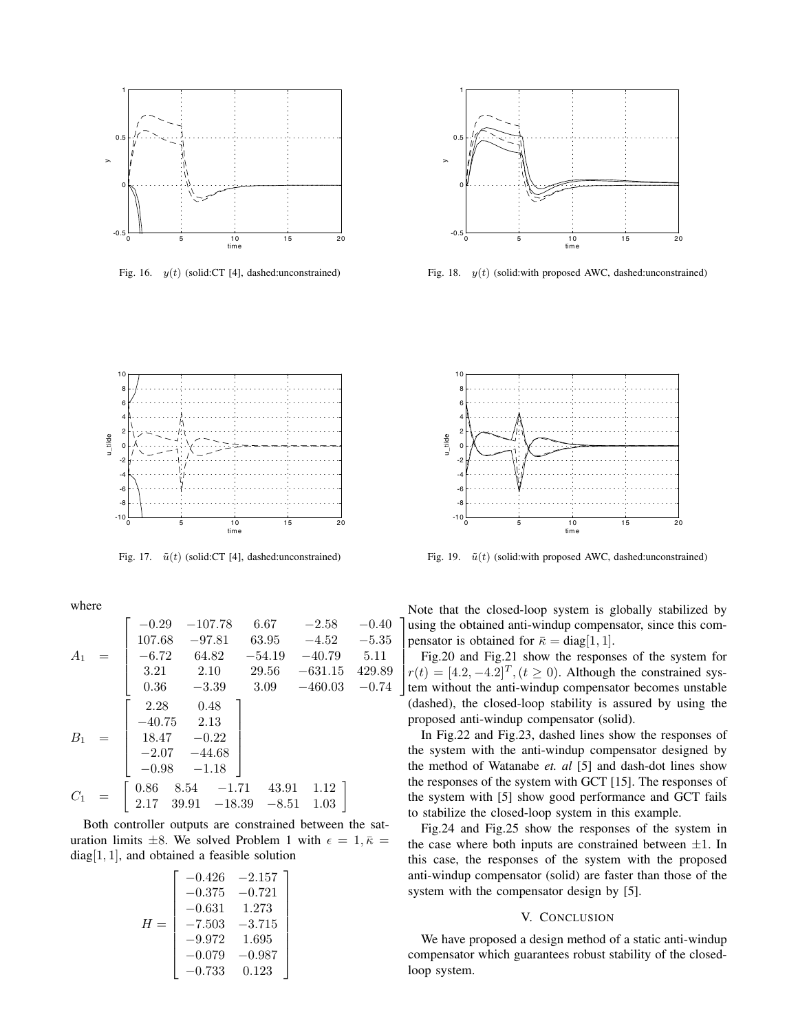

Fig. 16.  $y(t)$  (solid:CT [4], dashed:unconstrained)



Fig. 18.  $y(t)$  (solid:with proposed AWC, dashed:unconstrained)



Fig. 17.  $\tilde{u}(t)$  (solid:CT [4], dashed:unconstrained)

where

$$
A_1 = \begin{bmatrix} -0.29 & -107.78 & 6.67 & -2.58 & -0.40 \\ 107.68 & -97.81 & 63.95 & -4.52 & -5.35 \\ -6.72 & 64.82 & -54.19 & -40.79 & 5.11 \\ 3.21 & 2.10 & 29.56 & -631.15 & 429.89 \\ 0.36 & -3.39 & 3.09 & -460.03 & -0.74 \\ -40.75 & 2.13 & 18.47 & -0.22 \\ -2.07 & -44.68 & -0.98 & -1.18 \end{bmatrix}
$$
  

$$
C_1 = \begin{bmatrix} 0.86 & 8.54 & -1.71 & 43.91 & 1.12 \\ 2.17 & 39.91 & -18.39 & -8.51 & 1.03 \end{bmatrix}
$$

Both controller outputs are constrained between the saturation limits  $\pm 8$ . We solved Problem 1 with  $\epsilon = 1, \bar{\kappa} =$ diag[1, 1], and obtained a feasible solution

$$
H = \begin{bmatrix} -0.426 & -2.157 \\ -0.375 & -0.721 \\ -0.631 & 1.273 \\ -7.503 & -3.715 \\ -9.972 & 1.695 \\ -0.079 & -0.987 \\ -0.733 & 0.123 \end{bmatrix}
$$



Fig. 19.  $\tilde{u}(t)$  (solid:with proposed AWC, dashed:unconstrained)

⎤ using the obtained anti-windup compensator, since this compensator is obtained for  $\bar{\kappa} = \text{diag}[1, 1].$ Note that the closed-loop system is globally stabilized by

 $\overline{a}$ rig.20 and rig.21 show the responses of the system for<br> $r(t) = [4.2, -4.2]^T$ ,  $(t \ge 0)$ . Although the constrained sys $t(t) = [4.2, -4.2]$ ,  $(t \ge 0)$ . Antiough the constrained sys-<br>tem without the anti-windup compensator becomes unstable Fig.20 and Fig.21 show the responses of the system for (dashed), the closed-loop stability is assured by using the proposed anti-windup compensator (solid).

In Fig.22 and Fig.23, dashed lines show the responses of the system with the anti-windup compensator designed by the method of Watanabe *et. al* [5] and dash-dot lines show the responses of the system with GCT [15]. The responses of the system with [5] show good performance and GCT fails to stabilize the closed-loop system in this example.

Fig.24 and Fig.25 show the responses of the system in the case where both inputs are constrained between  $\pm 1$ . In this case, the responses of the system with the proposed anti-windup compensator (solid) are faster than those of the system with the compensator design by [5].

## V. CONCLUSION

We have proposed a design method of a static anti-windup compensator which guarantees robust stability of the closedloop system.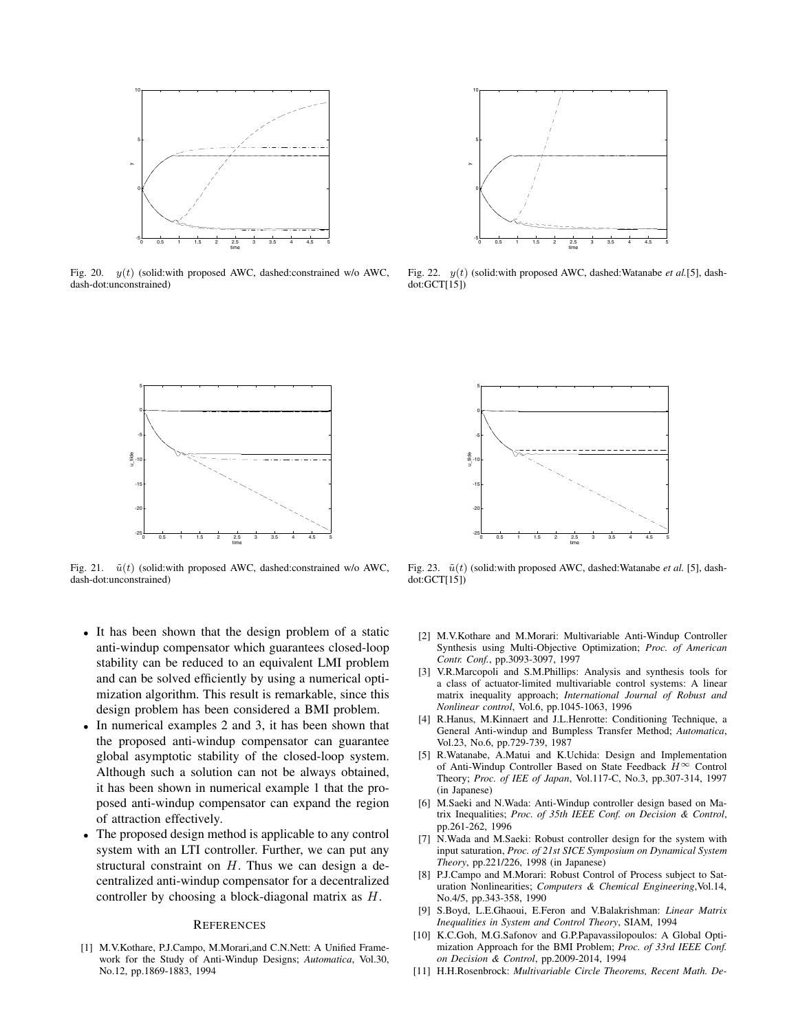

Fig. 20.  $y(t)$  (solid:with proposed AWC, dashed:constrained w/o AWC, dash-dot:unconstrained)



Fig. 22. y(t) (solid:with proposed AWC, dashed:Watanabe *et al.*[5], dashdot:GCT[15])



Fig. 21.  $\tilde{u}(t)$  (solid:with proposed AWC, dashed:constrained w/o AWC, dash-dot:unconstrained)

- It has been shown that the design problem of a static anti-windup compensator which guarantees closed-loop stability can be reduced to an equivalent LMI problem and can be solved efficiently by using a numerical optimization algorithm. This result is remarkable, since this design problem has been considered a BMI problem.
- In numerical examples 2 and 3, it has been shown that the proposed anti-windup compensator can guarantee global asymptotic stability of the closed-loop system. Although such a solution can not be always obtained, it has been shown in numerical example 1 that the proposed anti-windup compensator can expand the region of attraction effectively.
- The proposed design method is applicable to any control system with an LTI controller. Further, we can put any structural constraint on  $H$ . Thus we can design a decentralized anti-windup compensator for a decentralized controller by choosing a block-diagonal matrix as H.

# **REFERENCES**

[1] M.V.Kothare, P.J.Campo, M.Morari,and C.N.Nett: A Unified Framework for the Study of Anti-Windup Designs; *Automatica*, Vol.30, No.12, pp.1869-1883, 1994



Fig. 23.  $\tilde{u}(t)$  (solid:with proposed AWC, dashed:Watanabe *et al.* [5], dashdot:GCT[15])

- [2] M.V.Kothare and M.Morari: Multivariable Anti-Windup Controller Synthesis using Multi-Objective Optimization; *Proc. of American Contr. Conf.*, pp.3093-3097, 1997
- [3] V.R.Marcopoli and S.M.Phillips: Analysis and synthesis tools for a class of actuator-limited multivariable control systems: A linear matrix inequality approach; *International Journal of Robust and Nonlinear control*, Vol.6, pp.1045-1063, 1996
- [4] R.Hanus, M.Kinnaert and J.L.Henrotte: Conditioning Technique, a General Anti-windup and Bumpless Transfer Method; *Automatica*, Vol.23, No.6, pp.729-739, 1987
- [5] R.Watanabe, A.Matui and K.Uchida: Design and Implementation of Anti-Windup Controller Based on State Feedback  $H^{\infty}$  Control Theory; *Proc. of IEE of Japan*, Vol.117-C, No.3, pp.307-314, 1997 (in Japanese)
- [6] M.Saeki and N.Wada: Anti-Windup controller design based on Matrix Inequalities; *Proc. of 35th IEEE Conf. on Decision & Control*, pp.261-262, 1996
- [7] N.Wada and M.Saeki: Robust controller design for the system with input saturation, *Proc. of 21st SICE Symposium on Dynamical System Theory*, pp.221/226, 1998 (in Japanese)
- [8] P.J.Campo and M.Morari: Robust Control of Process subject to Saturation Nonlinearities; *Computers & Chemical Engineering*,Vol.14, No.4/5, pp.343-358, 1990
- [9] S.Boyd, L.E.Ghaoui, E.Feron and V.Balakrishman: *Linear Matrix Inequalities in System and Control Theory*, SIAM, 1994
- [10] K.C.Goh, M.G.Safonov and G.P.Papavassilopoulos: A Global Optimization Approach for the BMI Problem; *Proc. of 33rd IEEE Conf. on Decision & Control*, pp.2009-2014, 1994
- [11] H.H.Rosenbrock: *Multivariable Circle Theorems, Recent Math. De-*